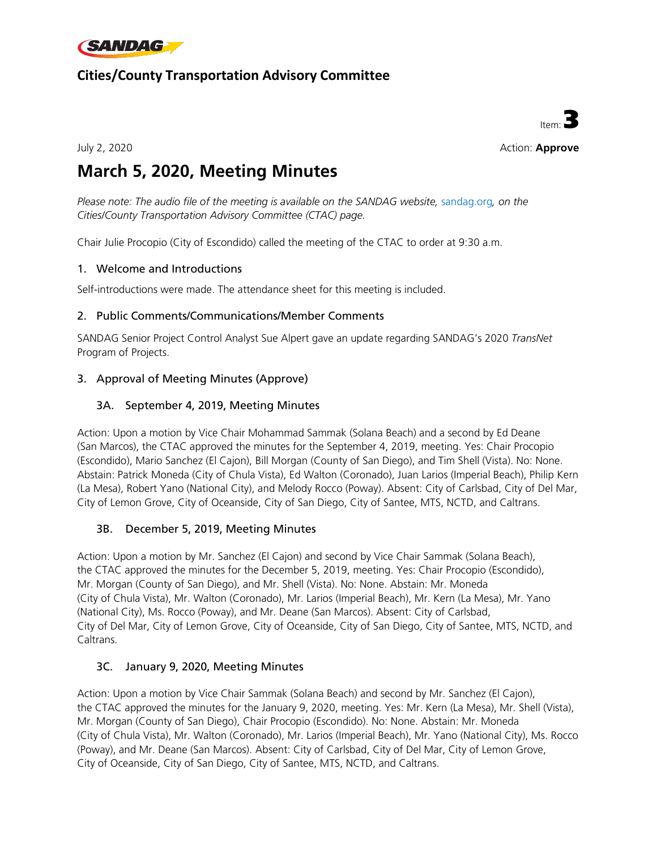

## **Cities/County Transportation Advisory Committee**



July 2, 2020 Action: **Approve**

# **March 5, 2020, Meeting Minutes**

*Please note: The audio file of the meeting is available on the SANDAG website, [sandag.org](http://vmoss2010/Agenda/Working%20Group/CCTAC/z-2018%20Archives/12.06.18/Item%2002%20-%20October%204,%202018,%20Meeting%20Minutes/sandag.org), on the Cities/County Transportation Advisory Committee (CTAC) page.*

Chair Julie Procopio (City of Escondido) called the meeting of the CTAC to order at 9:30 a.m.

#### 1. Welcome and Introductions

Self-introductions were made. The attendance sheet for this meeting is included.

#### 2. Public Comments/Communications/Member Comments

SANDAG Senior Project Control Analyst Sue Alpert gave an update regarding SANDAG's 2020 *TransNet* Program of Projects.

#### 3. Approval of Meeting Minutes (Approve)

#### 3A. September 4, 2019, Meeting Minutes

Action: Upon a motion by Vice Chair Mohammad Sammak (Solana Beach) and a second by Ed Deane (San Marcos), the CTAC approved the minutes for the September 4, 2019, meeting. Yes: Chair Procopio (Escondido), Mario Sanchez (El Cajon), Bill Morgan (County of San Diego), and Tim Shell (Vista). No: None. Abstain: Patrick Moneda (City of Chula Vista), Ed Walton (Coronado), Juan Larios (Imperial Beach), Philip Kern (La Mesa), Robert Yano (National City), and Melody Rocco (Poway). Absent: City of Carlsbad, City of Del Mar, City of Lemon Grove, City of Oceanside, City of San Diego, City of Santee, MTS, NCTD, and Caltrans.

#### 3B. December 5, 2019, Meeting Minutes

Action: Upon a motion by Mr. Sanchez (El Cajon) and second by Vice Chair Sammak (Solana Beach), the CTAC approved the minutes for the December 5, 2019, meeting. Yes: Chair Procopio (Escondido), Mr. Morgan (County of San Diego), and Mr. Shell (Vista). No: None. Abstain: Mr. Moneda (City of Chula Vista), Mr. Walton (Coronado), Mr. Larios (Imperial Beach), Mr. Kern (La Mesa), Mr. Yano (National City), Ms. Rocco (Poway), and Mr. Deane (San Marcos). Absent: City of Carlsbad, City of Del Mar, City of Lemon Grove, City of Oceanside, City of San Diego, City of Santee, MTS, NCTD, and Caltrans.

#### 3C. January 9, 2020, Meeting Minutes

Action: Upon a motion by Vice Chair Sammak (Solana Beach) and second by Mr. Sanchez (El Cajon), the CTAC approved the minutes for the January 9, 2020, meeting. Yes: Mr. Kern (La Mesa), Mr. Shell (Vista), Mr. Morgan (County of San Diego), Chair Procopio (Escondido). No: None. Abstain: Mr. Moneda (City of Chula Vista), Mr. Walton (Coronado), Mr. Larios (Imperial Beach), Mr. Yano (National City), Ms. Rocco (Poway), and Mr. Deane (San Marcos). Absent: City of Carlsbad, City of Del Mar, City of Lemon Grove, City of Oceanside, City of San Diego, City of Santee, MTS, NCTD, and Caltrans.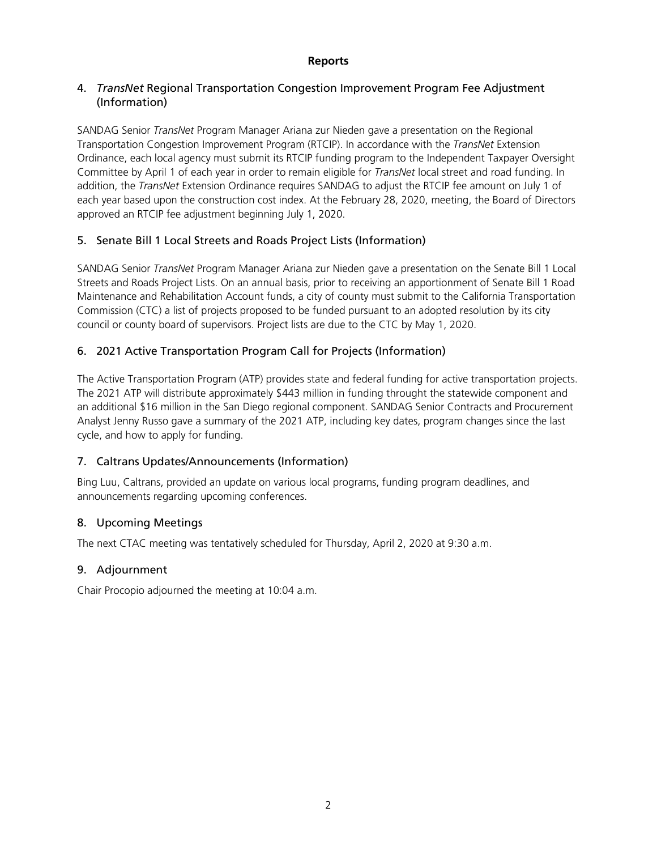#### **Reports**

#### 4. *TransNet* Regional Transportation Congestion Improvement Program Fee Adjustment (Information)

SANDAG Senior *TransNet* Program Manager Ariana zur Nieden gave a presentation on the Regional Transportation Congestion Improvement Program (RTCIP). In accordance with the *TransNet* Extension Ordinance, each local agency must submit its RTCIP funding program to the Independent Taxpayer Oversight Committee by April 1 of each year in order to remain eligible for *TransNet* local street and road funding. In addition, the *TransNet* Extension Ordinance requires SANDAG to adjust the RTCIP fee amount on July 1 of each year based upon the construction cost index. At the February 28, 2020, meeting, the Board of Directors approved an RTCIP fee adjustment beginning July 1, 2020.

#### 5. Senate Bill 1 Local Streets and Roads Project Lists (Information)

SANDAG Senior *TransNet* Program Manager Ariana zur Nieden gave a presentation on the Senate Bill 1 Local Streets and Roads Project Lists. On an annual basis, prior to receiving an apportionment of Senate Bill 1 Road Maintenance and Rehabilitation Account funds, a city of county must submit to the California Transportation Commission (CTC) a list of projects proposed to be funded pursuant to an adopted resolution by its city council or county board of supervisors. Project lists are due to the CTC by May 1, 2020.

#### 6. 2021 Active Transportation Program Call for Projects (Information)

The Active Transportation Program (ATP) provides state and federal funding for active transportation projects. The 2021 ATP will distribute approximately \$443 million in funding throught the statewide component and an additional \$16 million in the San Diego regional component. SANDAG Senior Contracts and Procurement Analyst Jenny Russo gave a summary of the 2021 ATP, including key dates, program changes since the last cycle, and how to apply for funding.

#### 7. Caltrans Updates/Announcements (Information)

Bing Luu, Caltrans, provided an update on various local programs, funding program deadlines, and announcements regarding upcoming conferences.

#### 8. Upcoming Meetings

The next CTAC meeting was tentatively scheduled for Thursday, April 2, 2020 at 9:30 a.m.

#### 9. Adjournment

Chair Procopio adjourned the meeting at 10:04 a.m.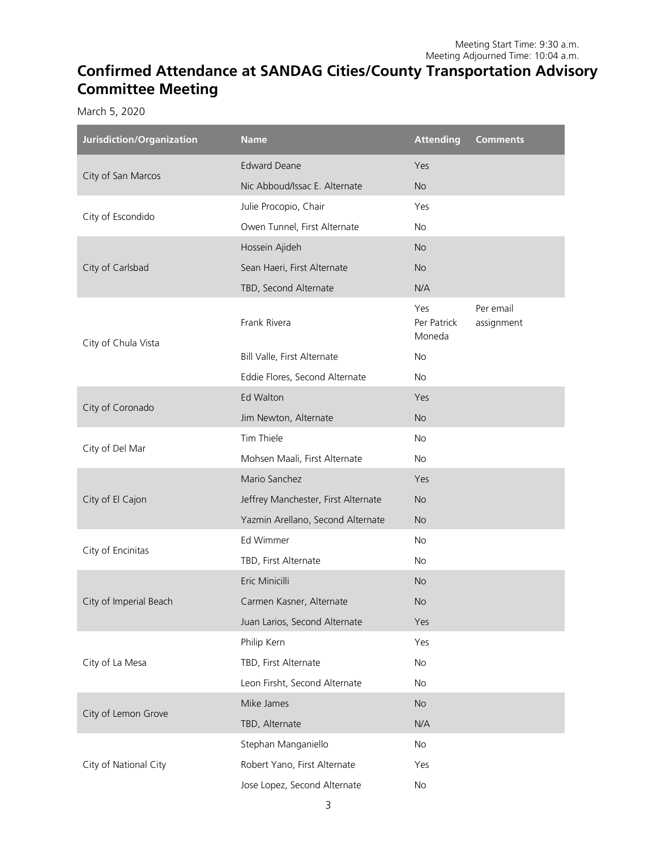# **Confirmed Attendance at SANDAG Cities/County Transportation Advisory Committee Meeting**

March 5, 2020

۰

| Jurisdiction/Organization | <b>Name</b>                         | <b>Attending</b>             | <b>Comments</b>         |
|---------------------------|-------------------------------------|------------------------------|-------------------------|
| City of San Marcos        | <b>Edward Deane</b>                 | Yes                          |                         |
|                           | Nic Abboud/Issac E. Alternate       | <b>No</b>                    |                         |
| City of Escondido         | Julie Procopio, Chair               | Yes                          |                         |
|                           | Owen Tunnel, First Alternate        | No                           |                         |
| City of Carlsbad          | Hossein Ajideh                      | <b>No</b>                    |                         |
|                           | Sean Haeri, First Alternate         | <b>No</b>                    |                         |
|                           | TBD, Second Alternate               | N/A                          |                         |
| City of Chula Vista       | Frank Rivera                        | Yes<br>Per Patrick<br>Moneda | Per email<br>assignment |
|                           | Bill Valle, First Alternate         | No                           |                         |
|                           | Eddie Flores, Second Alternate      | No                           |                         |
| City of Coronado          | Ed Walton                           | Yes                          |                         |
|                           | Jim Newton, Alternate               | <b>No</b>                    |                         |
| City of Del Mar           | Tim Thiele                          | <b>No</b>                    |                         |
|                           | Mohsen Maali, First Alternate       | No                           |                         |
| City of El Cajon          | Mario Sanchez                       | Yes                          |                         |
|                           | Jeffrey Manchester, First Alternate | <b>No</b>                    |                         |
|                           | Yazmin Arellano, Second Alternate   | <b>No</b>                    |                         |
| City of Encinitas         | Ed Wimmer                           | No                           |                         |
|                           | TBD, First Alternate                | No                           |                         |
| City of Imperial Beach    | Eric Minicilli                      | <b>No</b>                    |                         |
|                           | Carmen Kasner, Alternate            | <b>No</b>                    |                         |
|                           | Juan Larios, Second Alternate       | Yes                          |                         |
| City of La Mesa           | Philip Kern                         | Yes                          |                         |
|                           | TBD, First Alternate                | No                           |                         |
|                           | Leon Firsht, Second Alternate       | No                           |                         |
| City of Lemon Grove       | Mike James                          | <b>No</b>                    |                         |
|                           | TBD, Alternate                      | N/A                          |                         |
| City of National City     | Stephan Manganiello                 | No                           |                         |
|                           | Robert Yano, First Alternate        | Yes                          |                         |
|                           | Jose Lopez, Second Alternate        | No                           |                         |